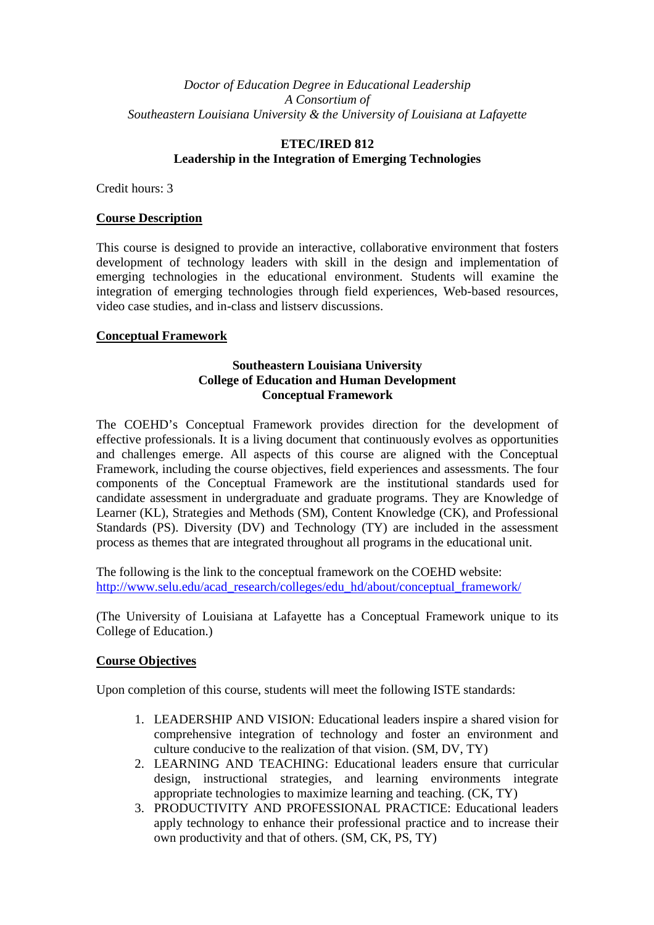### *Doctor of Education Degree in Educational Leadership A Consortium of Southeastern Louisiana University & the University of Louisiana at Lafayette*

# **ETEC/IRED 812 Leadership in the Integration of Emerging Technologies**

Credit hours: 3

### **Course Description**

This course is designed to provide an interactive, collaborative environment that fosters development of technology leaders with skill in the design and implementation of emerging technologies in the educational environment. Students will examine the integration of emerging technologies through field experiences, Web-based resources, video case studies, and in-class and listserv discussions.

# **Conceptual Framework**

### **Southeastern Louisiana University College of Education and Human Development Conceptual Framework**

The COEHD's Conceptual Framework provides direction for the development of effective professionals. It is a living document that continuously evolves as opportunities and challenges emerge. All aspects of this course are aligned with the Conceptual Framework, including the course objectives, field experiences and assessments. The four components of the Conceptual Framework are the institutional standards used for candidate assessment in undergraduate and graduate programs. They are Knowledge of Learner (KL), Strategies and Methods (SM), Content Knowledge (CK), and Professional Standards (PS). Diversity (DV) and Technology (TY) are included in the assessment process as themes that are integrated throughout all programs in the educational unit.

The following is the link to the conceptual framework on the COEHD website: http://www.selu.edu/acad\_research/colleges/edu\_hd/about/conceptual\_framework/

(The University of Louisiana at Lafayette has a Conceptual Framework unique to its College of Education.)

### **Course Objectives**

Upon completion of this course, students will meet the following ISTE standards:

- 1. LEADERSHIP AND VISION: Educational leaders inspire a shared vision for comprehensive integration of technology and foster an environment and culture conducive to the realization of that vision. (SM, DV, TY)
- 2. LEARNING AND TEACHING: Educational leaders ensure that curricular design, instructional strategies, and learning environments integrate appropriate technologies to maximize learning and teaching. (CK, TY)
- 3. PRODUCTIVITY AND PROFESSIONAL PRACTICE: Educational leaders apply technology to enhance their professional practice and to increase their own productivity and that of others. (SM, CK, PS, TY)